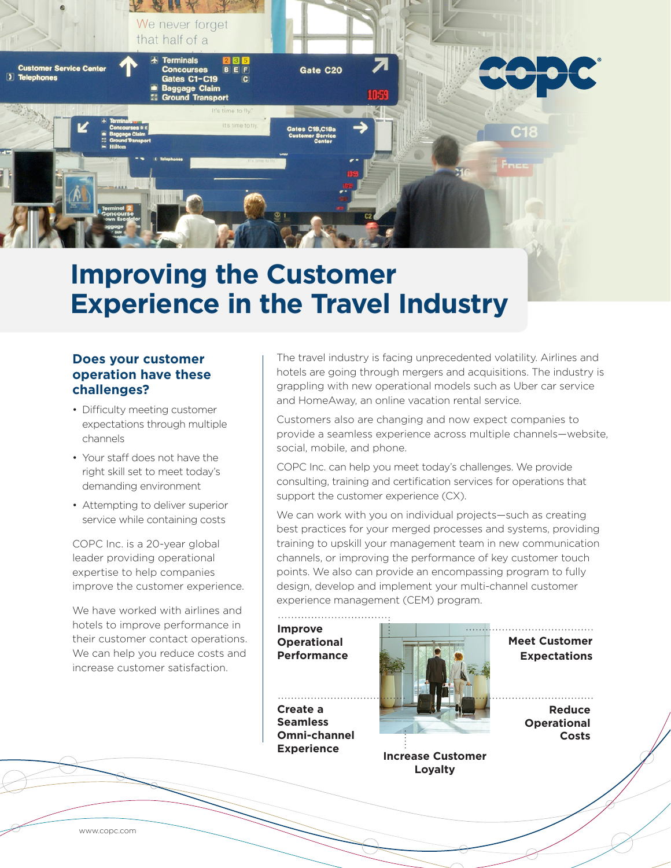

# **Improving the Customer Experience in the Travel Industry**

### **Does your customer operation have these challenges?**

- Difficulty meeting customer expectations through multiple channels
- Your staff does not have the right skill set to meet today's demanding environment
- Attempting to deliver superior service while containing costs

COPC Inc. is a 20-year global leader providing operational expertise to help companies improve the customer experience.

We have worked with airlines and hotels to improve performance in their customer contact operations. We can help you reduce costs and increase customer satisfaction.

The travel industry is facing unprecedented volatility. Airlines and hotels are going through mergers and acquisitions. The industry is grappling with new operational models such as Uber car service and HomeAway, an online vacation rental service.

Customers also are changing and now expect companies to provide a seamless experience across multiple channels—website, social, mobile, and phone.

COPC Inc. can help you meet today's challenges. We provide consulting, training and certification services for operations that support the customer experience (CX).

We can work with you on individual projects—such as creating best practices for your merged processes and systems, providing training to upskill your management team in new communication channels, or improving the performance of key customer touch points. We also can provide an encompassing program to fully design, develop and implement your multi-channel customer experience management (CEM) program.

#### **Improve Operational Performance**

**Create a Seamless Omni-channel Experience**



**Increase Customer Loyalty**

**Meet Customer Expectations**

> **Reduce Operational Costs**